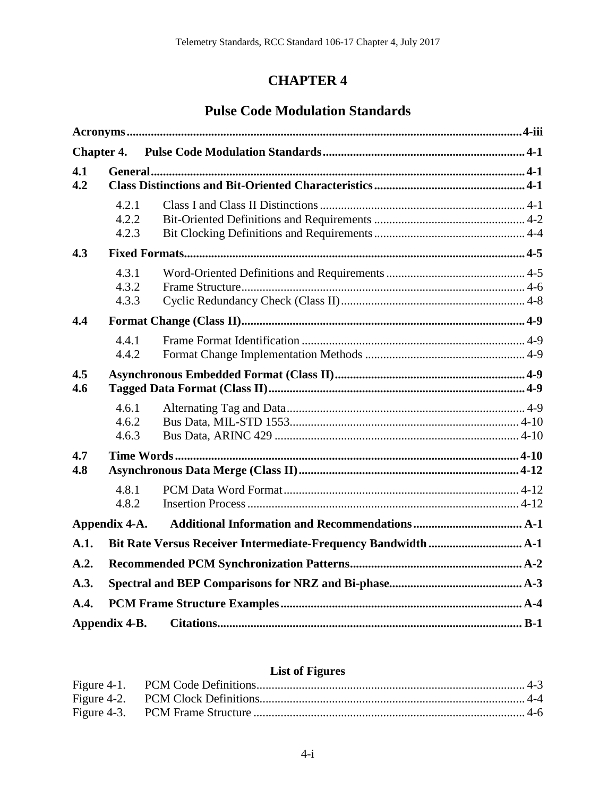# **CHAPTER 4**

# **Pulse Code Modulation Standards**

|            | <b>Chapter 4.</b>       |  |
|------------|-------------------------|--|
| 4.1<br>4.2 |                         |  |
|            | 4.2.1<br>4.2.2<br>4.2.3 |  |
| 4.3        |                         |  |
|            | 4.3.1<br>4.3.2<br>4.3.3 |  |
| 4.4        |                         |  |
|            | 4.4.1<br>4.4.2          |  |
| 4.5<br>4.6 |                         |  |
|            | 4.6.1<br>4.6.2<br>4.6.3 |  |
| 4.7<br>4.8 |                         |  |
|            | 4.8.1<br>4.8.2          |  |
|            | Appendix 4-A.           |  |
| A.1.       |                         |  |
| A.2.       |                         |  |
| A.3.       |                         |  |
| A.4.       |                         |  |
|            | Appendix 4-B.           |  |

## **List of Figures**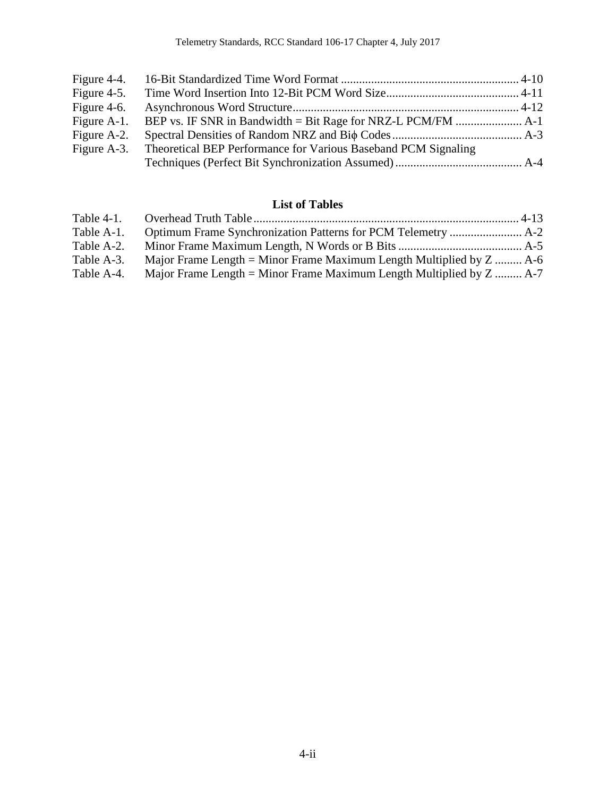| Figure 4-4. |                                                                            |  |
|-------------|----------------------------------------------------------------------------|--|
| Figure 4-5. |                                                                            |  |
| Figure 4-6. |                                                                            |  |
| Figure A-1. |                                                                            |  |
| Figure A-2. |                                                                            |  |
|             | Figure A-3. Theoretical BEP Performance for Various Baseband PCM Signaling |  |
|             |                                                                            |  |

## **List of Tables**

| Table 4-1. |                                                                       |  |
|------------|-----------------------------------------------------------------------|--|
| Table A-1. |                                                                       |  |
| Table A-2. |                                                                       |  |
| Table A-3. | Major Frame Length = Minor Frame Maximum Length Multiplied by $Z$ A-6 |  |
| Table A-4. | Major Frame Length = Minor Frame Maximum Length Multiplied by $Z$ A-7 |  |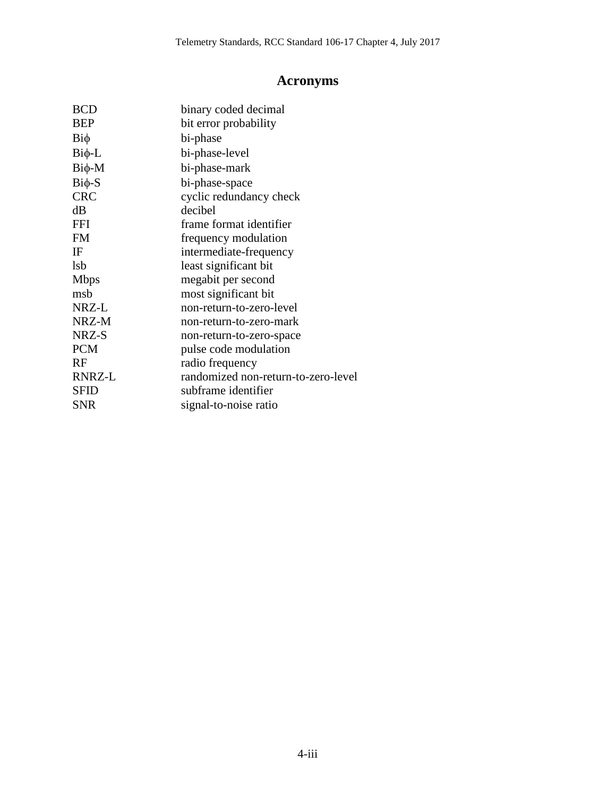# <span id="page-2-0"></span>**Acronyms**

| <b>BCD</b>  | binary coded decimal                |
|-------------|-------------------------------------|
| <b>BEP</b>  | bit error probability               |
| $Bi\phi$    | bi-phase                            |
| $Bi\phi$ -L | bi-phase-level                      |
| $Bi\phi$ -M | bi-phase-mark                       |
| $Bi\phi-S$  | bi-phase-space                      |
| <b>CRC</b>  | cyclic redundancy check             |
| dB          | decibel                             |
| <b>FFI</b>  | frame format identifier             |
| <b>FM</b>   | frequency modulation                |
| IF          | intermediate-frequency              |
| <b>lsb</b>  | least significant bit               |
| <b>Mbps</b> | megabit per second                  |
| msb         | most significant bit                |
| NRZ-L       | non-return-to-zero-level            |
| NRZ-M       | non-return-to-zero-mark             |
| NRZ-S       | non-return-to-zero-space            |
| <b>PCM</b>  | pulse code modulation               |
| RF          | radio frequency                     |
| RNRZ-L      | randomized non-return-to-zero-level |
| <b>SFID</b> | subframe identifier                 |
| <b>SNR</b>  | signal-to-noise ratio               |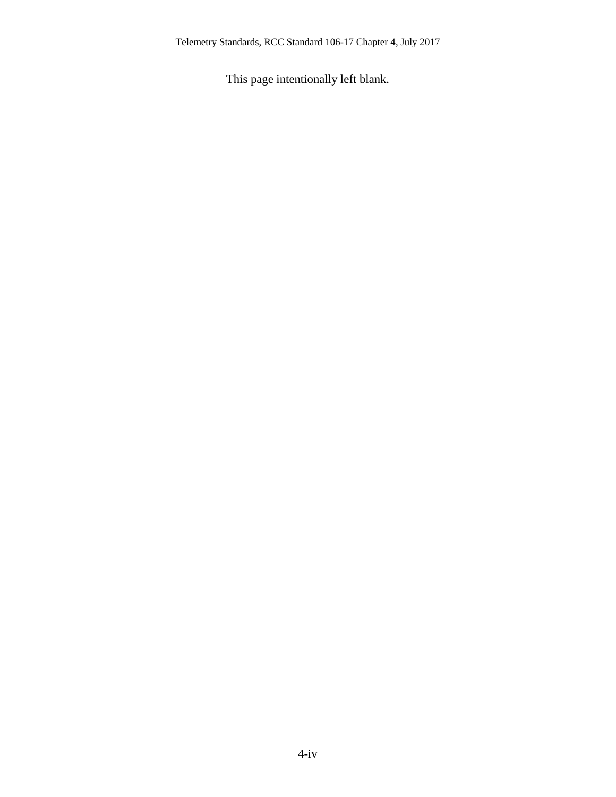This page intentionally left blank.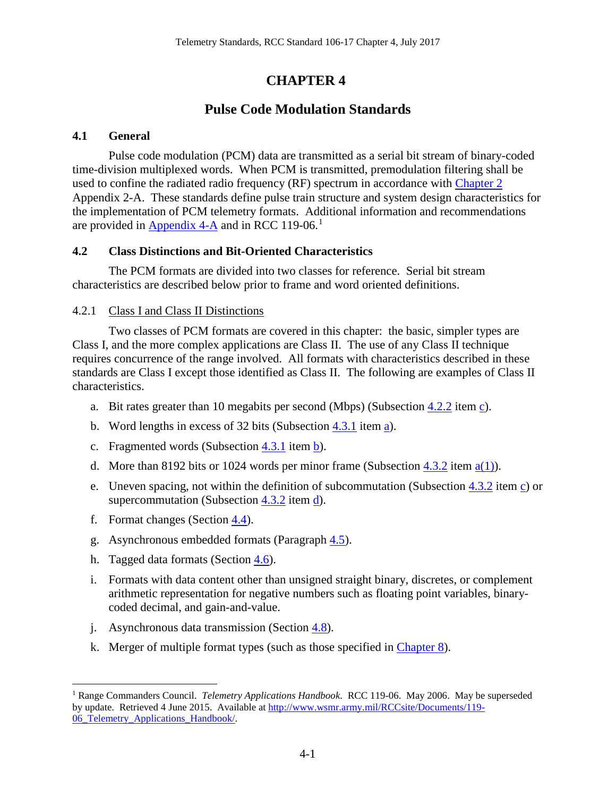## <span id="page-4-0"></span>**CHAPTER 4**

## **Pulse Code Modulation Standards**

#### <span id="page-4-1"></span>**4.1 General**

Pulse code modulation (PCM) data are transmitted as a serial bit stream of binary-coded time-division multiplexed words. When PCM is transmitted, premodulation filtering shall be used to confine the radiated radio frequency (RF) spectrum in accordance with [Chapter 2](http://www.wsmr.army.mil/RCCsite/Documents/106-17_Telemetry_Standards/chapter2.pdf) Appendix 2-A. These standards define pulse train structure and system design characteristics for the implementation of PCM telemetry formats. Additional information and recommendations are provided in **Appendix 4-A** and in RCC [1](#page-4-4)19-06.<sup>1</sup>

#### <span id="page-4-2"></span>**4.2 Class Distinctions and Bit-Oriented Characteristics**

The PCM formats are divided into two classes for reference. Serial bit stream characteristics are described below prior to frame and word oriented definitions.

#### <span id="page-4-3"></span>4.2.1 Class I and Class II Distinctions

Two classes of PCM formats are covered in this chapter: the basic, simpler types are Class I, and the more complex applications are Class II. The use of any Class II technique requires concurrence of the range involved. All formats with characteristics described in these standards are Class I except those identified as Class II. The following are examples of Class II characteristics.

- a. Bit rates greater than 10 megabits per second (Mbps) (Subsection [4.2.2](#page-5-0) item [c\)](#page-7-2).
- b. Word lengths in excess of 32 bits (Subsection  $\frac{4 \cdot 3 \cdot 1}{2}$  item [a\)](#page-8-2).
- c. Fragmented words (Subsection  $4.3.1$  item [b\)](#page-8-3).
- d. More than 8192 bits or 1024 words per minor frame (Subsection [4.3.2](#page-9-0) item  $a(1)$ ).
- e. Uneven spacing, not within the definition of subcommutation (Subsection [4.3.2](#page-9-0) item [c\)](#page-10-0) or supercommutation (Subsection  $\frac{4.3.2}{ }$  $\frac{4.3.2}{ }$  $\frac{4.3.2}{ }$  item [d\)](#page-11-1).
- f. Format changes (Section  $4.4$ ).
- g. Asynchronous embedded formats (Paragraph [4.5\)](#page-12-3).
- h. Tagged data formats (Section [4.6\)](#page-12-4).
- i. Formats with data content other than unsigned straight binary, discretes, or complement arithmetic representation for negative numbers such as floating point variables, binarycoded decimal, and gain-and-value.
- j. Asynchronous data transmission (Section [4.8\)](#page-15-0).
- k. Merger of multiple format types (such as those specified in [Chapter 8\)](http://www.wsmr.army.mil/RCCsite/Documents/106-17_Telemetry_Standards/chapter8.pdf).

<span id="page-4-4"></span> <sup>1</sup> Range Commanders Council. *Telemetry Applications Handbook*. RCC 119-06. May 2006. May be superseded by update. Retrieved 4 June 2015. Available at [http://www.wsmr.army.mil/RCCsite/Documents/119-](http://www.wsmr.army.mil/RCCsite/Documents/119-06_Telemetry_Applications_Handbook/) [06\\_Telemetry\\_Applications\\_Handbook/.](http://www.wsmr.army.mil/RCCsite/Documents/119-06_Telemetry_Applications_Handbook/)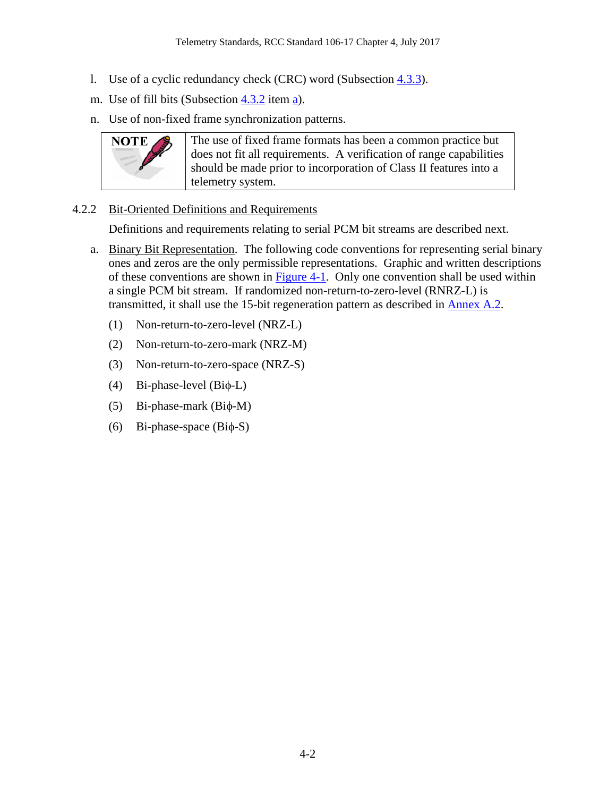- l. Use of a cyclic redundancy check (CRC) word (Subsection [4.3.3\)](#page-11-0).
- m. Use of fill bits (Subsection  $\frac{4.3.2}{ }$  $\frac{4.3.2}{ }$  $\frac{4.3.2}{ }$  item [a\)](#page-9-2).
- n. Use of non-fixed frame synchronization patterns.



The use of fixed frame formats has been a common practice but does not fit all requirements. A verification of range capabilities should be made prior to incorporation of Class II features into a telemetry system.

#### <span id="page-5-0"></span>4.2.2 Bit-Oriented Definitions and Requirements

Definitions and requirements relating to serial PCM bit streams are described next.

- a. Binary Bit Representation. The following code conventions for representing serial binary ones and zeros are the only permissible representations. Graphic and written descriptions of these conventions are shown in [Figure 4-1.](#page-6-0) Only one convention shall be used within a single PCM bit stream. If randomized non-return-to-zero-level (RNRZ-L) is transmitted, it shall use the 15-bit regeneration pattern as described in [Annex A.2.](http://www.wsmr.army.mil/RCCsite/Documents/106-17_Telemetry_Standards/annexa-2.pdf)
	- (1) Non-return-to-zero-level (NRZ-L)
	- (2) Non-return-to-zero-mark (NRZ-M)
	- (3) Non-return-to-zero-space (NRZ-S)
	- (4) Bi-phase-level (Biφ-L)
	- (5) Bi-phase-mark (Biφ-M)
	- (6) Bi-phase-space (Biφ-S)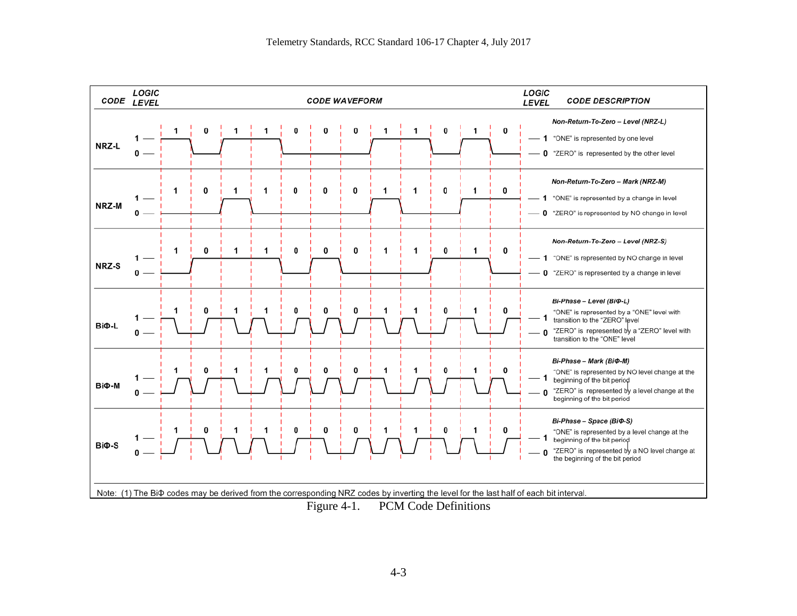

<span id="page-6-0"></span>Figure 4-1. PCM Code Definitions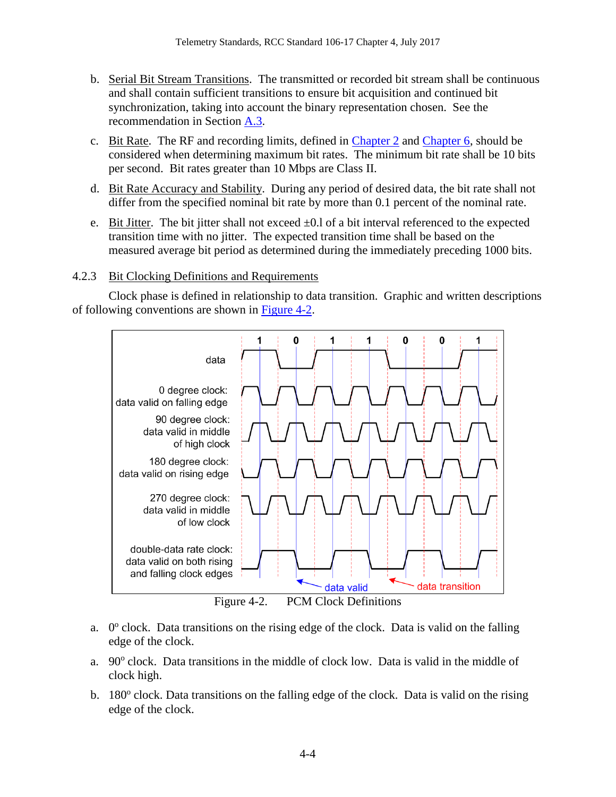- b. Serial Bit Stream Transitions. The transmitted or recorded bit stream shall be continuous and shall contain sufficient transitions to ensure bit acquisition and continued bit synchronization, taking into account the binary representation chosen. See the recommendation in Section [A.3.](#page-20-0)
- <span id="page-7-2"></span>c. Bit Rate. The RF and recording limits, defined in [Chapter 2](http://www.wsmr.army.mil/RCCsite/Documents/106-17_Telemetry_Standards/chapter2.pdf) and [Chapter 6,](http://www.wsmr.army.mil/RCCsite/Documents/106-17_Telemetry_Standards/chapter6.pdf) should be considered when determining maximum bit rates. The minimum bit rate shall be 10 bits per second. Bit rates greater than 10 Mbps are Class II.
- d. Bit Rate Accuracy and Stability. During any period of desired data, the bit rate shall not differ from the specified nominal bit rate by more than 0.1 percent of the nominal rate.
- e. Bit Jitter. The bit jitter shall not exceed  $\pm 0.1$  of a bit interval referenced to the expected transition time with no jitter. The expected transition time shall be based on the measured average bit period as determined during the immediately preceding 1000 bits.

## <span id="page-7-0"></span>4.2.3 Bit Clocking Definitions and Requirements

Clock phase is defined in relationship to data transition. Graphic and written descriptions of following conventions are shown in [Figure 4-2.](#page-7-1)



- <span id="page-7-1"></span>a.  $0^{\circ}$  clock. Data transitions on the rising edge of the clock. Data is valid on the falling edge of the clock.
- a.  $90^\circ$  clock. Data transitions in the middle of clock low. Data is valid in the middle of clock high.
- b.  $180^\circ$  clock. Data transitions on the falling edge of the clock. Data is valid on the rising edge of the clock.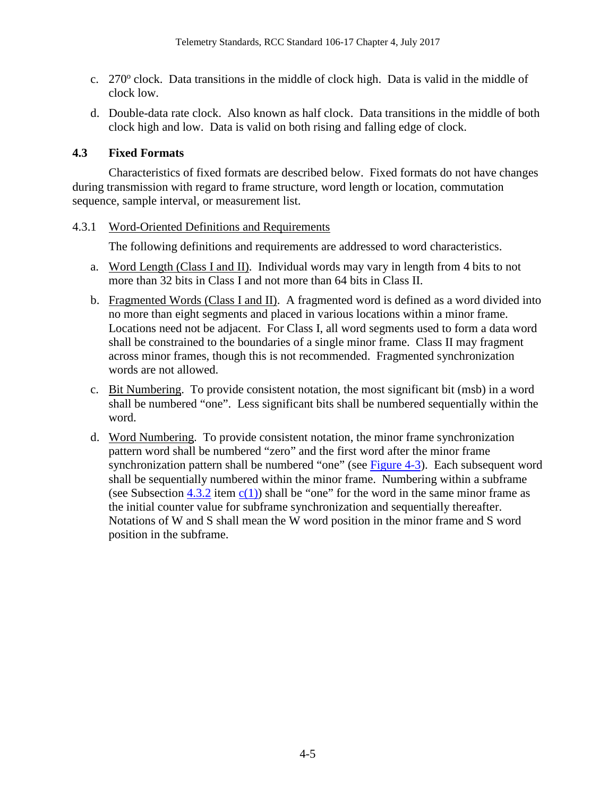- c.  $270^{\circ}$  clock. Data transitions in the middle of clock high. Data is valid in the middle of clock low.
- d. Double-data rate clock. Also known as half clock. Data transitions in the middle of both clock high and low. Data is valid on both rising and falling edge of clock.

## <span id="page-8-0"></span>**4.3 Fixed Formats**

Characteristics of fixed formats are described below. Fixed formats do not have changes during transmission with regard to frame structure, word length or location, commutation sequence, sample interval, or measurement list.

## <span id="page-8-1"></span>4.3.1 Word-Oriented Definitions and Requirements

The following definitions and requirements are addressed to word characteristics.

- <span id="page-8-2"></span>a. Word Length (Class I and II). Individual words may vary in length from 4 bits to not more than 32 bits in Class I and not more than 64 bits in Class II.
- <span id="page-8-3"></span>b. Fragmented Words (Class I and II). A fragmented word is defined as a word divided into no more than eight segments and placed in various locations within a minor frame. Locations need not be adjacent. For Class I, all word segments used to form a data word shall be constrained to the boundaries of a single minor frame. Class II may fragment across minor frames, though this is not recommended. Fragmented synchronization words are not allowed.
- c. Bit Numbering. To provide consistent notation, the most significant bit (msb) in a word shall be numbered "one". Less significant bits shall be numbered sequentially within the word.
- d. Word Numbering. To provide consistent notation, the minor frame synchronization pattern word shall be numbered "zero" and the first word after the minor frame synchronization pattern shall be numbered "one" (see [Figure 4-3\)](#page-9-1). Each subsequent word shall be sequentially numbered within the minor frame. Numbering within a subframe (see Subsection [4.3.2](#page-9-0) item  $c(1)$ ) shall be "one" for the word in the same minor frame as the initial counter value for subframe synchronization and sequentially thereafter. Notations of W and S shall mean the W word position in the minor frame and S word position in the subframe.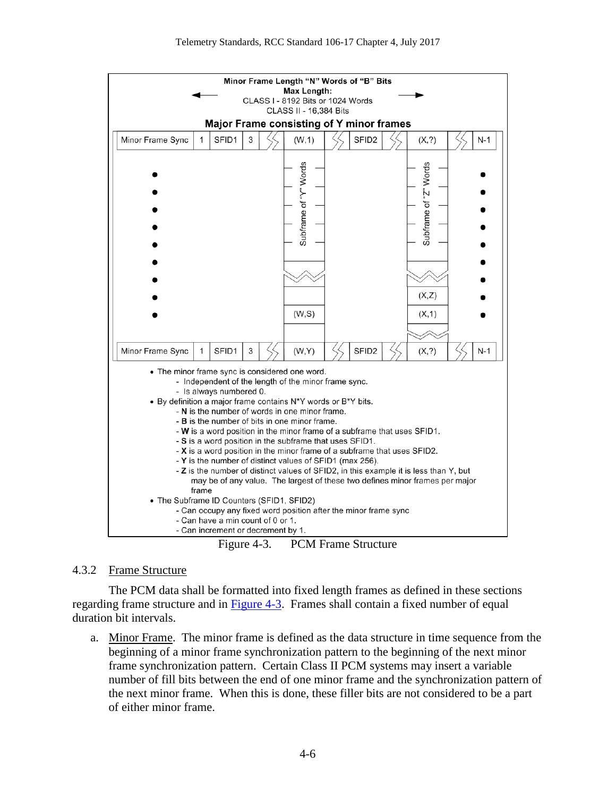

Figure 4-3. PCM Frame Structure

#### <span id="page-9-1"></span><span id="page-9-0"></span>4.3.2 Frame Structure

The PCM data shall be formatted into fixed length frames as defined in these sections regarding frame structure and in [Figure 4-3.](#page-9-1) Frames shall contain a fixed number of equal duration bit intervals.

<span id="page-9-2"></span>a. Minor Frame. The minor frame is defined as the data structure in time sequence from the beginning of a minor frame synchronization pattern to the beginning of the next minor frame synchronization pattern. Certain Class II PCM systems may insert a variable number of fill bits between the end of one minor frame and the synchronization pattern of the next minor frame. When this is done, these filler bits are not considered to be a part of either minor frame.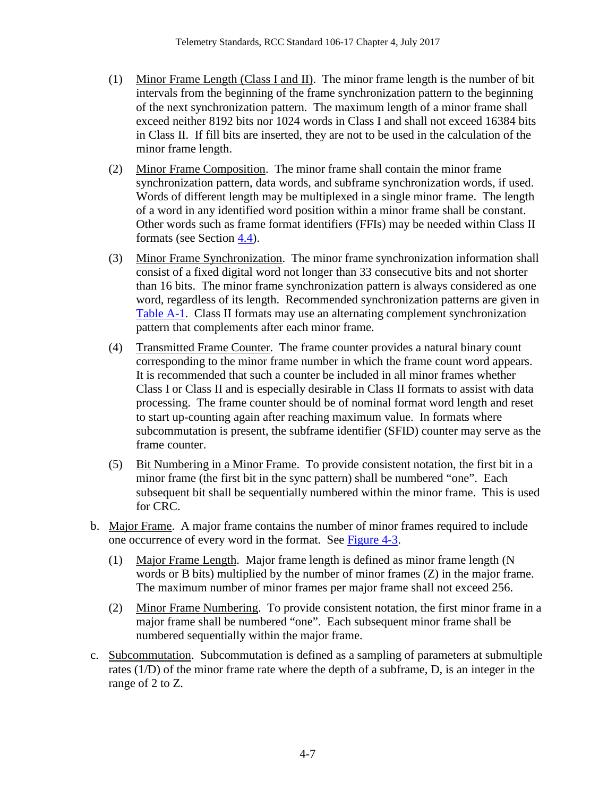- (1) Minor Frame Length (Class I and II). The minor frame length is the number of bit intervals from the beginning of the frame synchronization pattern to the beginning of the next synchronization pattern. The maximum length of a minor frame shall exceed neither 8192 bits nor 1024 words in Class I and shall not exceed 16384 bits in Class II. If fill bits are inserted, they are not to be used in the calculation of the minor frame length.
- (2) Minor Frame Composition. The minor frame shall contain the minor frame synchronization pattern, data words, and subframe synchronization words, if used. Words of different length may be multiplexed in a single minor frame. The length of a word in any identified word position within a minor frame shall be constant. Other words such as frame format identifiers (FFIs) may be needed within Class II formats (see Section [4.4\)](#page-12-0).
- (3) Minor Frame Synchronization. The minor frame synchronization information shall consist of a fixed digital word not longer than 33 consecutive bits and not shorter than 16 bits. The minor frame synchronization pattern is always considered as one word, regardless of its length. Recommended synchronization patterns are given in [Table A-1.](#page-19-1) Class II formats may use an alternating complement synchronization pattern that complements after each minor frame.
- (4) Transmitted Frame Counter. The frame counter provides a natural binary count corresponding to the minor frame number in which the frame count word appears. It is recommended that such a counter be included in all minor frames whether Class I or Class II and is especially desirable in Class II formats to assist with data processing. The frame counter should be of nominal format word length and reset to start up-counting again after reaching maximum value. In formats where subcommutation is present, the subframe identifier (SFID) counter may serve as the frame counter.
- (5) Bit Numbering in a Minor Frame. To provide consistent notation, the first bit in a minor frame (the first bit in the sync pattern) shall be numbered "one". Each subsequent bit shall be sequentially numbered within the minor frame. This is used for CRC.
- b. Major Frame. A major frame contains the number of minor frames required to include one occurrence of every word in the format. See [Figure 4-3.](#page-9-1)
	- (1) Major Frame Length. Major frame length is defined as minor frame length (N words or B bits) multiplied by the number of minor frames (Z) in the major frame. The maximum number of minor frames per major frame shall not exceed 256.
	- (2) Minor Frame Numbering. To provide consistent notation, the first minor frame in a major frame shall be numbered "one". Each subsequent minor frame shall be numbered sequentially within the major frame.
- <span id="page-10-0"></span>c. Subcommutation. Subcommutation is defined as a sampling of parameters at submultiple rates (1/D) of the minor frame rate where the depth of a subframe, D, is an integer in the range of 2 to Z.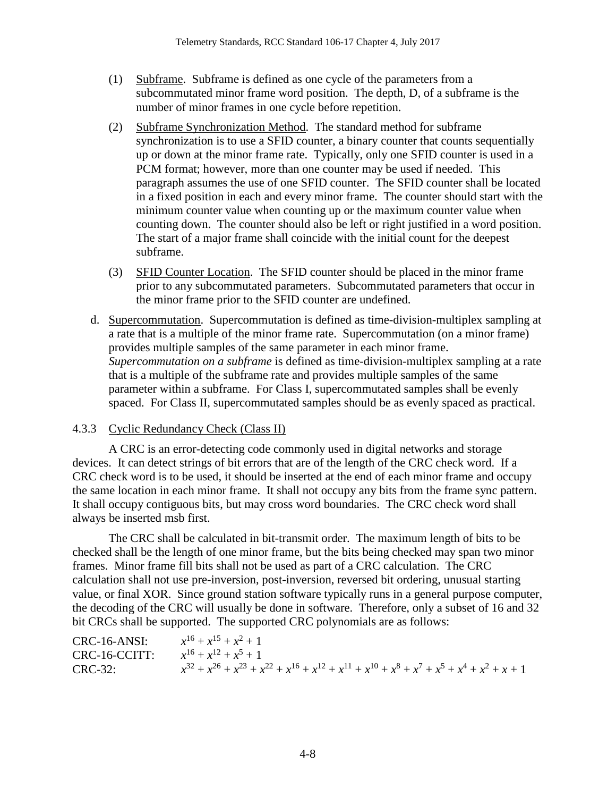- (1) Subframe. Subframe is defined as one cycle of the parameters from a subcommutated minor frame word position. The depth, D, of a subframe is the number of minor frames in one cycle before repetition.
- (2) Subframe Synchronization Method. The standard method for subframe synchronization is to use a SFID counter, a binary counter that counts sequentially up or down at the minor frame rate. Typically, only one SFID counter is used in a PCM format; however, more than one counter may be used if needed. This paragraph assumes the use of one SFID counter. The SFID counter shall be located in a fixed position in each and every minor frame. The counter should start with the minimum counter value when counting up or the maximum counter value when counting down. The counter should also be left or right justified in a word position. The start of a major frame shall coincide with the initial count for the deepest subframe.
- (3) SFID Counter Location. The SFID counter should be placed in the minor frame prior to any subcommutated parameters. Subcommutated parameters that occur in the minor frame prior to the SFID counter are undefined.
- <span id="page-11-1"></span>d. Supercommutation. Supercommutation is defined as time-division-multiplex sampling at a rate that is a multiple of the minor frame rate. Supercommutation (on a minor frame) provides multiple samples of the same parameter in each minor frame. *Supercommutation on a subframe* is defined as time-division-multiplex sampling at a rate that is a multiple of the subframe rate and provides multiple samples of the same parameter within a subframe. For Class I, supercommutated samples shall be evenly spaced. For Class II, supercommutated samples should be as evenly spaced as practical.

## <span id="page-11-0"></span>4.3.3 Cyclic Redundancy Check (Class II)

A CRC is an error-detecting code commonly used in digital networks and storage devices. It can detect strings of bit errors that are of the length of the CRC check word. If a CRC check word is to be used, it should be inserted at the end of each minor frame and occupy the same location in each minor frame. It shall not occupy any bits from the frame sync pattern. It shall occupy contiguous bits, but may cross word boundaries. The CRC check word shall always be inserted msb first.

The CRC shall be calculated in bit-transmit order. The maximum length of bits to be checked shall be the length of one minor frame, but the bits being checked may span two minor frames. Minor frame fill bits shall not be used as part of a CRC calculation. The CRC calculation shall not use pre-inversion, post-inversion, reversed bit ordering, unusual starting value, or final XOR. Since ground station software typically runs in a general purpose computer, the decoding of the CRC will usually be done in software. Therefore, only a subset of 16 and 32 bit CRCs shall be supported. The supported CRC polynomials are as follows:

| $CRC-16-ANSI:$ | $x^{16} + x^{15} + x^2 + 1$                                                                                   |
|----------------|---------------------------------------------------------------------------------------------------------------|
| CRC-16-CCITT:  | $x^{16} + x^{12} + x^5 + 1$                                                                                   |
| $CRC-32$ :     | $x^{32} + x^{26} + x^{23} + x^{22} + x^{16} + x^{12} + x^{11} + x^{10} + x^8 + x^7 + x^5 + x^4 + x^2 + x + 1$ |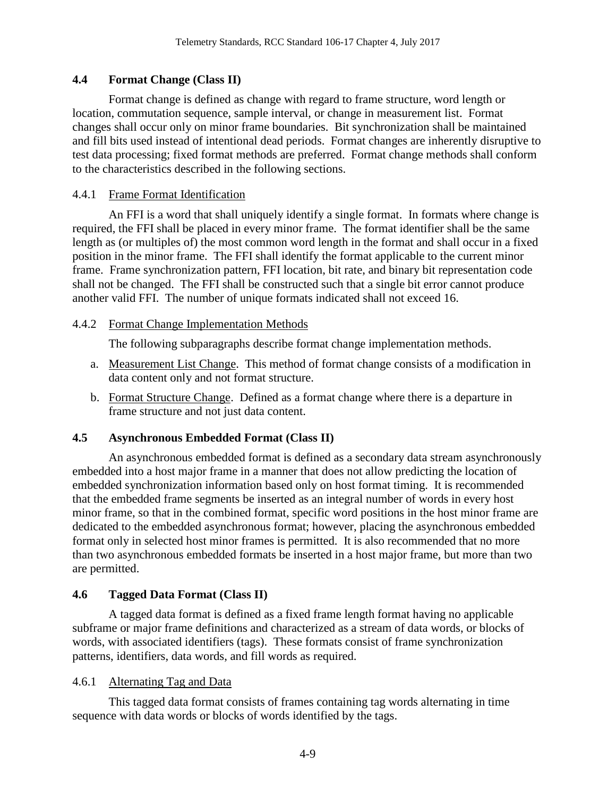## <span id="page-12-0"></span>**4.4 Format Change (Class II)**

Format change is defined as change with regard to frame structure, word length or location, commutation sequence, sample interval, or change in measurement list. Format changes shall occur only on minor frame boundaries. Bit synchronization shall be maintained and fill bits used instead of intentional dead periods. Format changes are inherently disruptive to test data processing; fixed format methods are preferred. Format change methods shall conform to the characteristics described in the following sections.

## <span id="page-12-1"></span>4.4.1 Frame Format Identification

An FFI is a word that shall uniquely identify a single format. In formats where change is required, the FFI shall be placed in every minor frame. The format identifier shall be the same length as (or multiples of) the most common word length in the format and shall occur in a fixed position in the minor frame. The FFI shall identify the format applicable to the current minor frame. Frame synchronization pattern, FFI location, bit rate, and binary bit representation code shall not be changed. The FFI shall be constructed such that a single bit error cannot produce another valid FFI. The number of unique formats indicated shall not exceed 16.

## <span id="page-12-2"></span>4.4.2 Format Change Implementation Methods

The following subparagraphs describe format change implementation methods.

- a. Measurement List Change. This method of format change consists of a modification in data content only and not format structure.
- b. Format Structure Change. Defined as a format change where there is a departure in frame structure and not just data content.

## <span id="page-12-3"></span>**4.5 Asynchronous Embedded Format (Class II)**

An asynchronous embedded format is defined as a secondary data stream asynchronously embedded into a host major frame in a manner that does not allow predicting the location of embedded synchronization information based only on host format timing. It is recommended that the embedded frame segments be inserted as an integral number of words in every host minor frame, so that in the combined format, specific word positions in the host minor frame are dedicated to the embedded asynchronous format; however, placing the asynchronous embedded format only in selected host minor frames is permitted. It is also recommended that no more than two asynchronous embedded formats be inserted in a host major frame, but more than two are permitted.

## <span id="page-12-4"></span>**4.6 Tagged Data Format (Class II)**

A tagged data format is defined as a fixed frame length format having no applicable subframe or major frame definitions and characterized as a stream of data words, or blocks of words, with associated identifiers (tags). These formats consist of frame synchronization patterns, identifiers, data words, and fill words as required.

## <span id="page-12-5"></span>4.6.1 Alternating Tag and Data

This tagged data format consists of frames containing tag words alternating in time sequence with data words or blocks of words identified by the tags.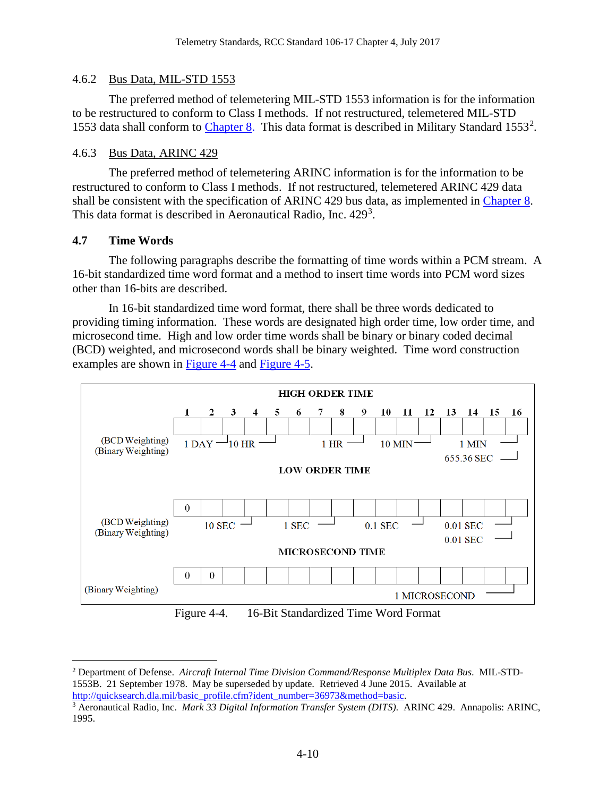## <span id="page-13-0"></span>4.6.2 Bus Data, MIL-STD 1553

The preferred method of telemetering MIL-STD 1553 information is for the information to be restructured to conform to Class I methods. If not restructured, telemetered MIL-STD 1553 data shall conform to [Chapter 8.](http://www.wsmr.army.mil/RCCsite/Documents/106-17_Telemetry_Standards/chapter8.pdf) This data format is described in Military Standard 1553<sup>[2](#page-13-4)</sup>.

## <span id="page-13-1"></span>4.6.3 Bus Data, ARINC 429

The preferred method of telemetering ARINC information is for the information to be restructured to conform to Class I methods. If not restructured, telemetered ARINC 429 data shall be consistent with the specification of ARINC 429 bus data, as implemented in [Chapter 8.](http://www.wsmr.army.mil/RCCsite/Documents/106-17_Telemetry_Standards/chapter8.pdf) This data format is described in Aeronautical Radio, Inc. 429<sup>[3](#page-13-5)</sup>.

## <span id="page-13-2"></span>**4.7 Time Words**

The following paragraphs describe the formatting of time words within a PCM stream. A 16-bit standardized time word format and a method to insert time words into PCM word sizes other than 16-bits are described.

In 16-bit standardized time word format, there shall be three words dedicated to providing timing information. These words are designated high order time, low order time, and microsecond time. High and low order time words shall be binary or binary coded decimal (BCD) weighted, and microsecond words shall be binary weighted. Time word construction examples are shown in [Figure 4-4](#page-13-3) and [Figure 4-5.](#page-14-0)



Figure 4-4. 16-Bit Standardized Time Word Format

<span id="page-13-4"></span><span id="page-13-3"></span> <sup>2</sup> Department of Defense. *Aircraft Internal Time Division Command/Response Multiplex Data Bus*. MIL-STD-1553B. 21 September 1978. May be superseded by update. Retrieved 4 June 2015. Available at [http://quicksearch.dla.mil/basic\\_profile.cfm?ident\\_number=36973&method=basic.](http://quicksearch.dla.mil/basic_profile.cfm?ident_number=36973&method=basic)

<span id="page-13-5"></span><sup>&</sup>lt;sup>3</sup> Aeronautical Radio, Inc. *Mark 33 Digital Information Transfer System (DITS)*. ARINC 429. Annapolis: ARINC, 1995.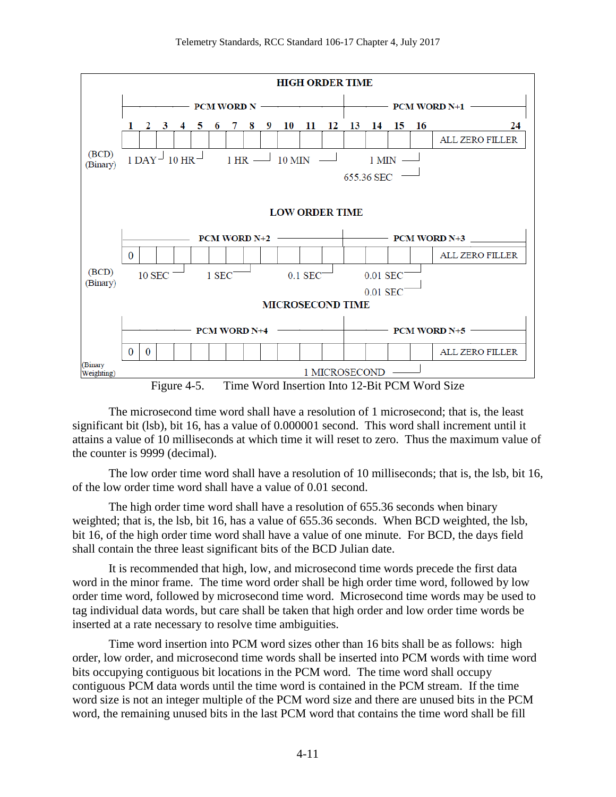

Figure 4-5. Time Word Insertion Into 12-Bit PCM Word Size

<span id="page-14-0"></span>The microsecond time word shall have a resolution of 1 microsecond; that is, the least significant bit (lsb), bit 16, has a value of 0.000001 second. This word shall increment until it attains a value of 10 milliseconds at which time it will reset to zero. Thus the maximum value of the counter is 9999 (decimal).

The low order time word shall have a resolution of 10 milliseconds; that is, the lsb, bit 16, of the low order time word shall have a value of 0.01 second.

The high order time word shall have a resolution of 655.36 seconds when binary weighted; that is, the lsb, bit 16, has a value of 655.36 seconds. When BCD weighted, the lsb, bit 16, of the high order time word shall have a value of one minute. For BCD, the days field shall contain the three least significant bits of the BCD Julian date.

It is recommended that high, low, and microsecond time words precede the first data word in the minor frame. The time word order shall be high order time word, followed by low order time word, followed by microsecond time word. Microsecond time words may be used to tag individual data words, but care shall be taken that high order and low order time words be inserted at a rate necessary to resolve time ambiguities.

Time word insertion into PCM word sizes other than 16 bits shall be as follows: high order, low order, and microsecond time words shall be inserted into PCM words with time word bits occupying contiguous bit locations in the PCM word. The time word shall occupy contiguous PCM data words until the time word is contained in the PCM stream. If the time word size is not an integer multiple of the PCM word size and there are unused bits in the PCM word, the remaining unused bits in the last PCM word that contains the time word shall be fill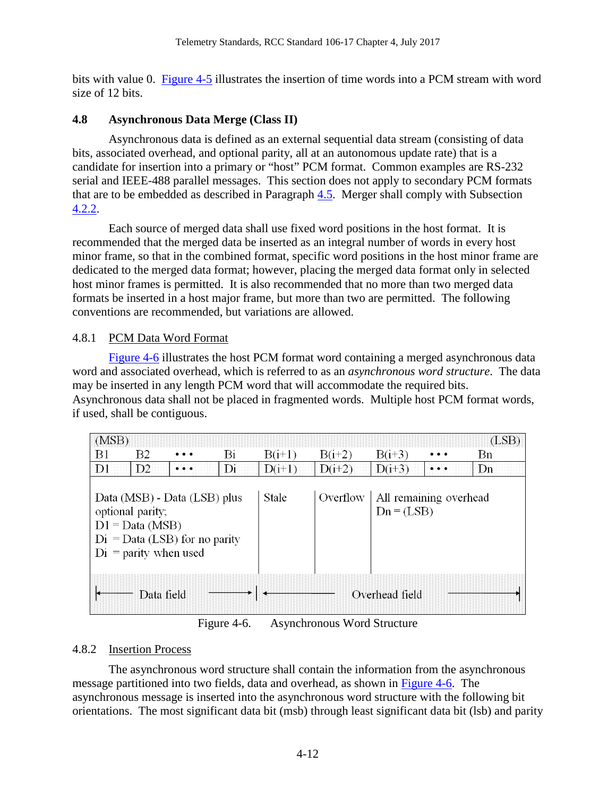bits with value 0. [Figure 4-5](#page-14-0) illustrates the insertion of time words into a PCM stream with word size of 12 bits.

#### <span id="page-15-0"></span>**4.8 Asynchronous Data Merge (Class II)**

Asynchronous data is defined as an external sequential data stream (consisting of data bits, associated overhead, and optional parity, all at an autonomous update rate) that is a candidate for insertion into a primary or "host" PCM format. Common examples are RS-232 serial and IEEE-488 parallel messages. This section does not apply to secondary PCM formats that are to be embedded as described in Paragraph [4.5.](#page-12-3) Merger shall comply with Subsection [4.2.2.](#page-5-0)

Each source of merged data shall use fixed word positions in the host format. It is recommended that the merged data be inserted as an integral number of words in every host minor frame, so that in the combined format, specific word positions in the host minor frame are dedicated to the merged data format; however, placing the merged data format only in selected host minor frames is permitted. It is also recommended that no more than two merged data formats be inserted in a host major frame, but more than two are permitted. The following conventions are recommended, but variations are allowed.

#### <span id="page-15-1"></span>4.8.1 PCM Data Word Format

[Figure 4-6](#page-15-3) illustrates the host PCM format word containing a merged asynchronous data word and associated overhead, which is referred to as an *asynchronous word structure*. The data may be inserted in any length PCM word that will accommodate the required bits. Asynchronous data shall not be placed in fragmented words. Multiple host PCM format words, if used, shall be contiguous.

| (MSB)          |                                                                 |                                                                            |    |          |          |                |                        |    | (LSB) |
|----------------|-----------------------------------------------------------------|----------------------------------------------------------------------------|----|----------|----------|----------------|------------------------|----|-------|
| B1             | B <sub>2</sub>                                                  | $\bullet\hspace{0.1cm} \bullet\hspace{0.1cm}\bullet\hspace{0.1cm} \bullet$ | Bi | $B(i+1)$ | $B(i+2)$ | $B(i+3)$       | $\ddotsc$              | Bn |       |
| D <sub>1</sub> | D2                                                              | $\ddot{\phantom{a}}$ .                                                     | Di | $D(i+1)$ | $D(i+2)$ | $D(i+3)$       |                        | Dn |       |
|                | optional parity,<br>$D1 = Data(MSB)$<br>$Di =$ parity when used | Data (MSB) - Data (LSB) plus<br>$Di = Data (LSB)$ for no parity            |    | Stale    | Overflow | $Dn = (LSB)$   | All remaining overhead |    |       |
|                | Data field                                                      |                                                                            |    |          |          | Overhead field |                        |    |       |

Figure 4-6. Asynchronous Word Structure

#### <span id="page-15-3"></span><span id="page-15-2"></span>4.8.2 Insertion Process

The asynchronous word structure shall contain the information from the asynchronous message partitioned into two fields, data and overhead, as shown in [Figure 4-6.](#page-15-3) The asynchronous message is inserted into the asynchronous word structure with the following bit orientations. The most significant data bit (msb) through least significant data bit (lsb) and parity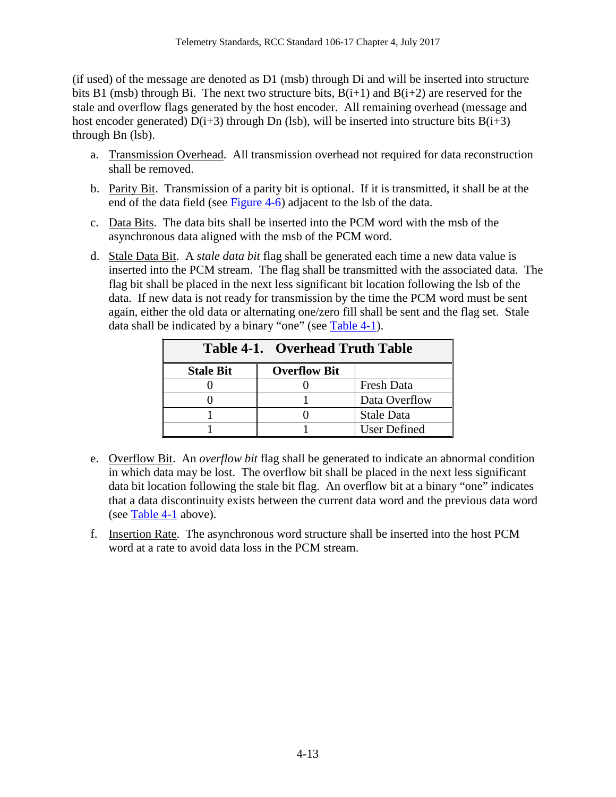(if used) of the message are denoted as D1 (msb) through Di and will be inserted into structure bits B1 (msb) through Bi. The next two structure bits,  $B(i+1)$  and  $B(i+2)$  are reserved for the stale and overflow flags generated by the host encoder. All remaining overhead (message and host encoder generated)  $D(i+3)$  through Dn (lsb), will be inserted into structure bits  $B(i+3)$ through Bn (lsb).

- a. Transmission Overhead. All transmission overhead not required for data reconstruction shall be removed.
- b. Parity Bit. Transmission of a parity bit is optional. If it is transmitted, it shall be at the end of the data field (see [Figure 4-6\)](#page-15-3) adjacent to the lsb of the data.
- c. Data Bits. The data bits shall be inserted into the PCM word with the msb of the asynchronous data aligned with the msb of the PCM word.
- d. Stale Data Bit. A *stale data bit* flag shall be generated each time a new data value is inserted into the PCM stream. The flag shall be transmitted with the associated data. The flag bit shall be placed in the next less significant bit location following the lsb of the data. If new data is not ready for transmission by the time the PCM word must be sent again, either the old data or alternating one/zero fill shall be sent and the flag set. Stale data shall be indicated by a binary "one" (see [Table 4-1\)](#page-16-0).

<span id="page-16-0"></span>

| Table 4-1. Overhead Truth Table |                     |                     |  |  |  |  |  |  |  |  |  |
|---------------------------------|---------------------|---------------------|--|--|--|--|--|--|--|--|--|
| <b>Stale Bit</b>                | <b>Overflow Bit</b> |                     |  |  |  |  |  |  |  |  |  |
|                                 |                     | <b>Fresh Data</b>   |  |  |  |  |  |  |  |  |  |
|                                 |                     | Data Overflow       |  |  |  |  |  |  |  |  |  |
|                                 |                     | <b>Stale Data</b>   |  |  |  |  |  |  |  |  |  |
|                                 |                     | <b>User Defined</b> |  |  |  |  |  |  |  |  |  |

- e. Overflow Bit. An *overflow bit* flag shall be generated to indicate an abnormal condition in which data may be lost. The overflow bit shall be placed in the next less significant data bit location following the stale bit flag. An overflow bit at a binary "one" indicates that a data discontinuity exists between the current data word and the previous data word (see [Table 4-1](#page-16-0) above).
- f. Insertion Rate. The asynchronous word structure shall be inserted into the host PCM word at a rate to avoid data loss in the PCM stream.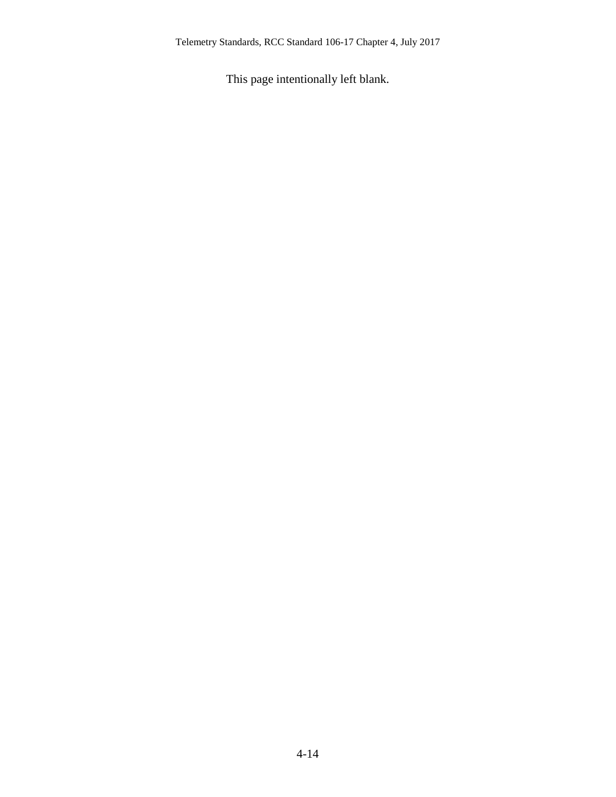This page intentionally left blank.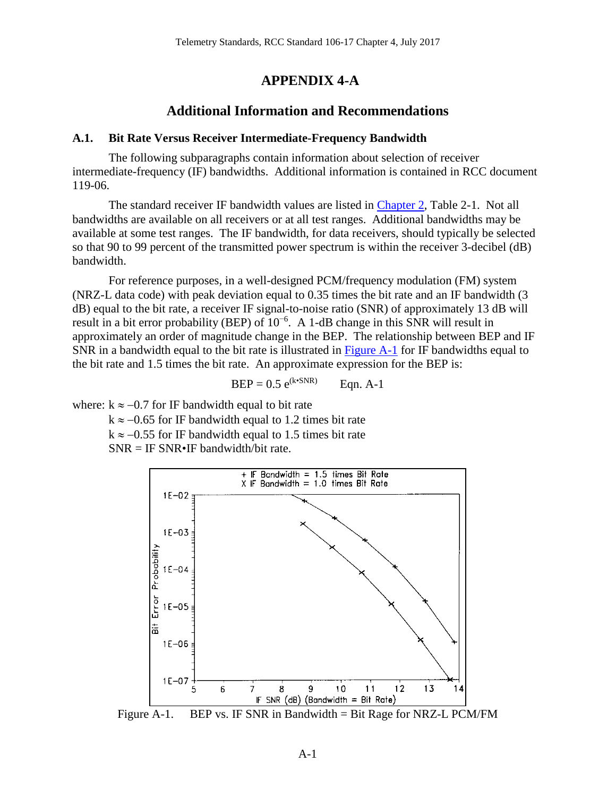## <span id="page-18-0"></span>**APPENDIX 4-A**

## **Additional Information and Recommendations**

#### <span id="page-18-3"></span><span id="page-18-1"></span>**A.1. Bit Rate Versus Receiver Intermediate-Frequency Bandwidth**

The following subparagraphs contain information about selection of receiver intermediate-frequency (IF) bandwidths. Additional information is contained in RCC document 119-06.

The standard receiver IF bandwidth values are listed in [Chapter 2,](http://www.wsmr.army.mil/RCCsite/Documents/106-17_Telemetry_Standards/chapter2.pdf) Table 2-1. Not all bandwidths are available on all receivers or at all test ranges. Additional bandwidths may be available at some test ranges. The IF bandwidth, for data receivers, should typically be selected so that 90 to 99 percent of the transmitted power spectrum is within the receiver 3-decibel (dB) bandwidth.

For reference purposes, in a well-designed PCM/frequency modulation (FM) system (NRZ-L data code) with peak deviation equal to 0.35 times the bit rate and an IF bandwidth (3 dB) equal to the bit rate, a receiver IF signal-to-noise ratio (SNR) of approximately 13 dB will result in a bit error probability (BEP) of 10<sup>-6</sup>. A 1-dB change in this SNR will result in approximately an order of magnitude change in the BEP. The relationship between BEP and IF SNR in a bandwidth equal to the bit rate is illustrated in [Figure A-1](#page-18-2) for IF bandwidths equal to the bit rate and 1.5 times the bit rate. An approximate expression for the BEP is:

$$
BEP = 0.5 e^{(k \cdot SNR)}
$$
 Eqn. A-1

where:  $k \approx -0.7$  for IF bandwidth equal to bit rate

 $k \approx -0.65$  for IF bandwidth equal to 1.2 times bit rate  $k \approx -0.55$  for IF bandwidth equal to 1.5 times bit rate  $SNR = IF SNR \cdot IF bandwidth/bit rate.$ 



<span id="page-18-2"></span>Figure A-1. BEP vs. IF SNR in Bandwidth = Bit Rage for NRZ-L PCM/FM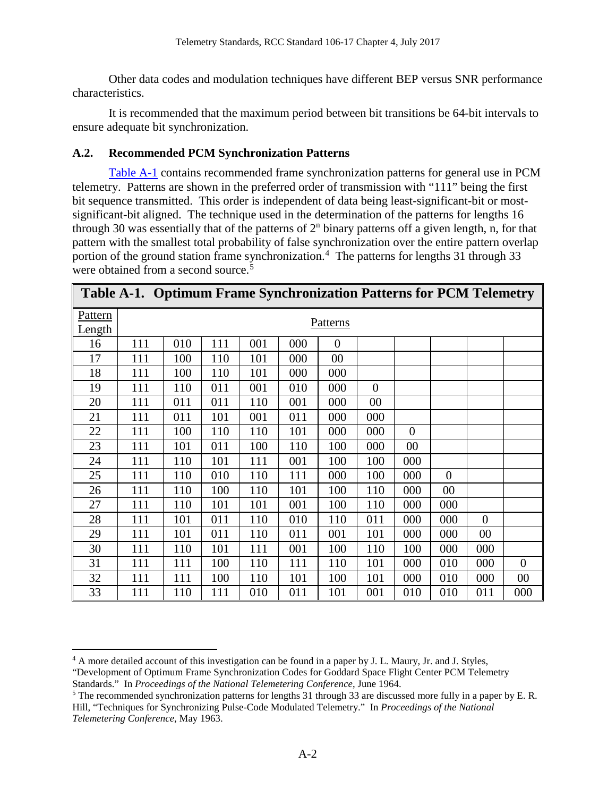Other data codes and modulation techniques have different BEP versus SNR performance characteristics.

It is recommended that the maximum period between bit transitions be 64-bit intervals to ensure adequate bit synchronization.

## <span id="page-19-0"></span>**A.2. Recommended PCM Synchronization Patterns**

[Table A-1](#page-19-1) contains recommended frame synchronization patterns for general use in PCM telemetry. Patterns are shown in the preferred order of transmission with "111" being the first bit sequence transmitted. This order is independent of data being least-significant-bit or mostsignificant-bit aligned. The technique used in the determination of the patterns for lengths 16 through 30 was essentially that of the patterns of  $2<sup>n</sup>$  binary patterns off a given length, n, for that pattern with the smallest total probability of false synchronization over the entire pattern overlap portion of the ground station frame synchronization.<sup>[4](#page-19-2)</sup> The patterns for lengths 31 through 33 were obtained from a second source.<sup>[5](#page-19-3)</sup>

<span id="page-19-1"></span>

|               | Table A-1. Optimum Frame Synchronization Patterns for PCM Telemetry |     |     |     |     |                |                |          |                |                |                |  |  |
|---------------|---------------------------------------------------------------------|-----|-----|-----|-----|----------------|----------------|----------|----------------|----------------|----------------|--|--|
| Pattern       | <b>Patterns</b>                                                     |     |     |     |     |                |                |          |                |                |                |  |  |
| <u>Length</u> |                                                                     |     |     |     |     |                |                |          |                |                |                |  |  |
| 16            | 111                                                                 | 010 | 111 | 001 | 000 | $\overline{0}$ |                |          |                |                |                |  |  |
| 17            | 111                                                                 | 100 | 110 | 101 | 000 | $00\,$         |                |          |                |                |                |  |  |
| 18            | 111                                                                 | 100 | 110 | 101 | 000 | 000            |                |          |                |                |                |  |  |
| 19            | 111                                                                 | 110 | 011 | 001 | 010 | 000            | $\overline{0}$ |          |                |                |                |  |  |
| 20            | 111                                                                 | 011 | 011 | 110 | 001 | 000            | $00\,$         |          |                |                |                |  |  |
| 21            | 111                                                                 | 011 | 101 | 001 | 011 | 000            | 000            |          |                |                |                |  |  |
| 22            | 111                                                                 | 100 | 110 | 110 | 101 | 000            | 000            | $\theta$ |                |                |                |  |  |
| 23            | 111                                                                 | 101 | 011 | 100 | 110 | 100            | 000            | 00       |                |                |                |  |  |
| 24            | 111                                                                 | 110 | 101 | 111 | 001 | 100            | 100            | 000      |                |                |                |  |  |
| 25            | 111                                                                 | 110 | 010 | 110 | 111 | 000            | 100            | 000      | $\overline{0}$ |                |                |  |  |
| 26            | 111                                                                 | 110 | 100 | 110 | 101 | 100            | 110            | 000      | 00             |                |                |  |  |
| 27            | 111                                                                 | 110 | 101 | 101 | 001 | 100            | 110            | 000      | 000            |                |                |  |  |
| 28            | 111                                                                 | 101 | 011 | 110 | 010 | 110            | 011            | 000      | 000            | $\overline{0}$ |                |  |  |
| 29            | 111                                                                 | 101 | 011 | 110 | 011 | 001            | 101            | 000      | 000            | 00             |                |  |  |
| 30            | 111                                                                 | 110 | 101 | 111 | 001 | 100            | 110            | 100      | 000            | 000            |                |  |  |
| 31            | 111                                                                 | 111 | 100 | 110 | 111 | 110            | 101            | 000      | 010            | 000            | $\overline{0}$ |  |  |
| 32            | 111                                                                 | 111 | 100 | 110 | 101 | 100            | 101            | 000      | 010            | 000            | 00             |  |  |
| 33            | 111                                                                 | 110 | 111 | 010 | 011 | 101            | 001            | 010      | 010            | 011            | 000            |  |  |

<span id="page-19-2"></span> 4 A more detailed account of this investigation can be found in a paper by J. L. Maury, Jr. and J. Styles, "Development of Optimum Frame Synchronization Codes for Goddard Space Flight Center PCM Telemetry

Standards." In *Proceedings of the National Telemetering Conference*, June 1964.

<span id="page-19-3"></span><sup>&</sup>lt;sup>5</sup> The recommended synchronization patterns for lengths 31 through 33 are discussed more fully in a paper by E. R. Hill, "Techniques for Synchronizing Pulse-Code Modulated Telemetry." In *Proceedings of the National Telemetering Conference*, May 1963.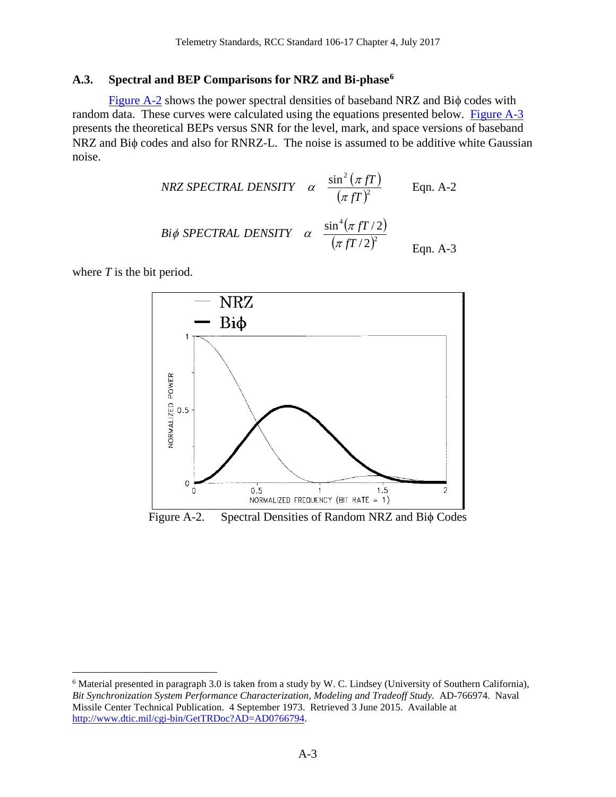## <span id="page-20-0"></span>**A.3. Spectral and BEP Comparisons for NRZ and Bi-phase[6](#page-20-2)**

[Figure A-2](#page-20-1) shows the power spectral densities of baseband NRZ and Biφ codes with random data. These curves were calculated using the equations presented below. [Figure A-3](#page-21-1) presents the theoretical BEPs versus SNR for the level, mark, and space versions of baseband NRZ and Biφ codes and also for RNRZ-L. The noise is assumed to be additive white Gaussian noise.

$$
NRZ \, SPECTRAL \, DENSITY \quad \alpha \quad \frac{\sin^2(\pi fT)}{(\pi fT)^2} \qquad \text{Eqn. A-2}
$$
\n
$$
Bi\phi \, SPECTRAL \, DENSITY \quad \alpha \quad \frac{\sin^4(\pi fT/2)}{(\pi fT/2)^2} \qquad \text{Eqn. A-3}
$$

where *T* is the bit period.



<span id="page-20-1"></span>Figure A-2. Spectral Densities of Random NRZ and Biϕ Codes

<span id="page-20-2"></span> <sup>6</sup> Material presented in paragraph 3.0 is taken from a study by W. C. Lindsey (University of Southern California), *Bit Synchronization System Performance Characterization, Modeling and Tradeoff Study.* AD-766974. Naval Missile Center Technical Publication. 4 September 1973. Retrieved 3 June 2015. Available at [http://www.dtic.mil/cgi-bin/GetTRDoc?AD=AD0766794.](http://www.dtic.mil/cgi-bin/GetTRDoc?AD=AD0766794)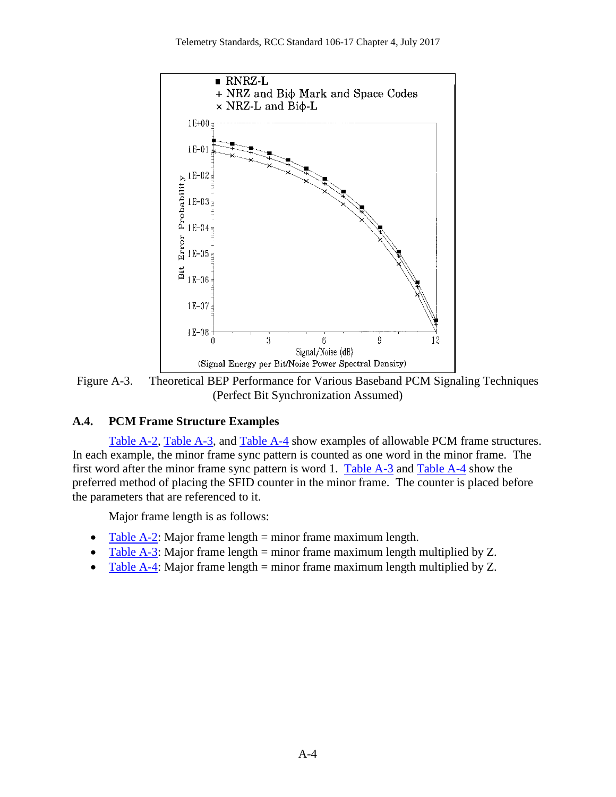

<span id="page-21-1"></span>Figure A-3. Theoretical BEP Performance for Various Baseband PCM Signaling Techniques (Perfect Bit Synchronization Assumed)

## <span id="page-21-0"></span>**A.4. PCM Frame Structure Examples**

[Table A-2,](#page-22-0) [Table A-3,](#page-23-0) and [Table A-4](#page-24-0) show examples of allowable PCM frame structures. In each example, the minor frame sync pattern is counted as one word in the minor frame. The first word after the minor frame sync pattern is word 1. [Table A-3](#page-23-0) and [Table A-4](#page-24-0) show the preferred method of placing the SFID counter in the minor frame. The counter is placed before the parameters that are referenced to it.

Major frame length is as follows:

- [Table A-2:](#page-22-0) Major frame length  $=$  minor frame maximum length.
- [Table A-3:](#page-23-0) Major frame length = minor frame maximum length multiplied by Z.
- [Table A-4:](#page-24-0) Major frame length = minor frame maximum length multiplied by Z.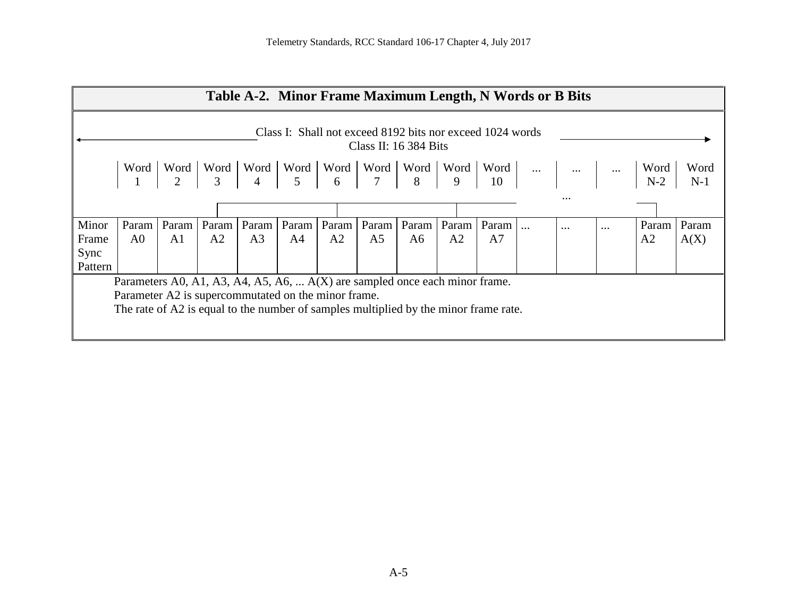<span id="page-22-0"></span>

|         | Table A-2. Minor Frame Maximum Length, N Words or B Bits                             |                |       |                |       |       |                |    |               |       |  |          |          |             |               |
|---------|--------------------------------------------------------------------------------------|----------------|-------|----------------|-------|-------|----------------|----|---------------|-------|--|----------|----------|-------------|---------------|
|         | Class I: Shall not exceed 8192 bits nor exceed 1024 words<br>Class II: $16384$ Bits  |                |       |                |       |       |                |    |               |       |  |          |          |             |               |
|         | Word                                                                                 |                |       |                |       |       |                |    |               |       |  |          |          | Word<br>N-2 | Word<br>$N-1$ |
|         | $\cdots$                                                                             |                |       |                |       |       |                |    |               |       |  |          |          |             |               |
| Minor   | Param                                                                                | Param          | Param | Param          | Param | Param | Param          |    | Param   Param | Param |  | $\cdots$ | $\cdots$ | Param       | Param         |
| Frame   | A <sub>0</sub>                                                                       | A <sub>1</sub> | A2    | A <sub>3</sub> | A4    | A2    | A <sub>5</sub> | A6 | A2            | A7    |  |          |          | A2          | A(X)          |
| Sync    |                                                                                      |                |       |                |       |       |                |    |               |       |  |          |          |             |               |
| Pattern |                                                                                      |                |       |                |       |       |                |    |               |       |  |          |          |             |               |
|         | Parameters A0, A1, A3, A4, A5, A6, $A(X)$ are sampled once each minor frame.         |                |       |                |       |       |                |    |               |       |  |          |          |             |               |
|         | Parameter A2 is supercommutated on the minor frame.                                  |                |       |                |       |       |                |    |               |       |  |          |          |             |               |
|         | The rate of A2 is equal to the number of samples multiplied by the minor frame rate. |                |       |                |       |       |                |    |               |       |  |          |          |             |               |
|         |                                                                                      |                |       |                |       |       |                |    |               |       |  |          |          |             |               |
|         |                                                                                      |                |       |                |       |       |                |    |               |       |  |          |          |             |               |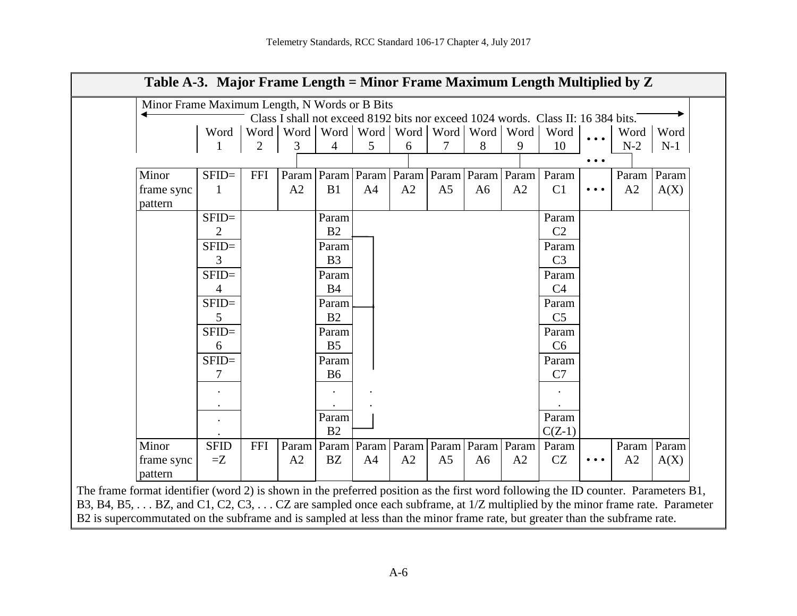<span id="page-23-0"></span>

| Minor Frame Maximum Length, N Words or B Bits |                |                |                                                       |                |                |                                                       |                |                               |    |                                                                                  |                                                                             |       |       |
|-----------------------------------------------|----------------|----------------|-------------------------------------------------------|----------------|----------------|-------------------------------------------------------|----------------|-------------------------------|----|----------------------------------------------------------------------------------|-----------------------------------------------------------------------------|-------|-------|
|                                               |                |                |                                                       |                |                |                                                       |                |                               |    | Class I shall not exceed 8192 bits nor exceed 1024 words. Class II: 16 384 bits. |                                                                             |       |       |
|                                               | Word           |                | Word   Word   Word   Word   Word   Word   Word   Word |                |                |                                                       |                |                               |    | Word                                                                             | $\bullet\bullet\bullet$                                                     | Word  | Word  |
|                                               |                | $\overline{2}$ | 3                                                     | $\overline{4}$ | 5              | 6                                                     |                | 8                             | 9  | 10                                                                               |                                                                             | $N-2$ | $N-1$ |
|                                               |                |                |                                                       |                |                |                                                       |                |                               |    |                                                                                  | $\bullet\bullet\bullet$                                                     |       |       |
| Minor                                         | $SFID =$       | <b>FFI</b>     |                                                       |                |                | Param   Param   Param   Param   Param   Param   Param |                |                               |    | Param                                                                            |                                                                             | Param | Param |
| frame sync                                    | 1              |                | A2                                                    | B1             | A4             | A2                                                    | A <sub>5</sub> | A <sub>6</sub>                | A2 | C1                                                                               | $\bullet\hspace{0.1cm} \bullet\hspace{0.1cm} \bullet\hspace{0.1cm} \bullet$ | A2    | A(X)  |
| pattern                                       |                |                |                                                       |                |                |                                                       |                |                               |    |                                                                                  |                                                                             |       |       |
|                                               | $SFID =$       |                |                                                       | Param          |                |                                                       |                |                               |    | Param                                                                            |                                                                             |       |       |
|                                               | $\overline{2}$ |                |                                                       | B <sub>2</sub> |                |                                                       |                |                               |    | C <sub>2</sub>                                                                   |                                                                             |       |       |
|                                               | $SFID =$       |                |                                                       | Param          |                |                                                       |                |                               |    | Param                                                                            |                                                                             |       |       |
|                                               | 3              |                |                                                       | B <sub>3</sub> |                |                                                       |                |                               |    | C <sub>3</sub>                                                                   |                                                                             |       |       |
|                                               | $SFID =$       |                |                                                       | Param          |                |                                                       |                |                               |    | Param                                                                            |                                                                             |       |       |
|                                               | 4              |                |                                                       | <b>B4</b>      |                |                                                       |                |                               |    | C <sub>4</sub>                                                                   |                                                                             |       |       |
|                                               | $SFID =$       |                |                                                       | Param          |                |                                                       |                |                               |    | Param                                                                            |                                                                             |       |       |
|                                               | 5              |                |                                                       | B <sub>2</sub> |                |                                                       |                |                               |    | C <sub>5</sub>                                                                   |                                                                             |       |       |
|                                               | $SFID =$       |                |                                                       | Param          |                |                                                       |                |                               |    | Param                                                                            |                                                                             |       |       |
|                                               | 6              |                |                                                       | B <sub>5</sub> |                |                                                       |                |                               |    | C <sub>6</sub>                                                                   |                                                                             |       |       |
|                                               | $SFID =$       |                |                                                       | Param          |                |                                                       |                |                               |    | Param                                                                            |                                                                             |       |       |
|                                               | 7              |                |                                                       | <b>B6</b>      |                |                                                       |                |                               |    | C7                                                                               |                                                                             |       |       |
|                                               |                |                |                                                       |                |                |                                                       |                |                               |    |                                                                                  |                                                                             |       |       |
|                                               |                |                |                                                       |                |                |                                                       |                |                               |    |                                                                                  |                                                                             |       |       |
|                                               |                |                |                                                       | Param          |                |                                                       |                |                               |    | Param                                                                            |                                                                             |       |       |
|                                               |                |                |                                                       | B <sub>2</sub> |                |                                                       |                |                               |    | $C(Z-1)$                                                                         |                                                                             |       |       |
| Minor                                         | <b>SFID</b>    | <b>FFI</b>     | Param                                                 | Param          | Param          |                                                       |                | Param   Param   Param   Param |    | Param                                                                            |                                                                             | Param | Param |
| frame sync                                    | $=Z$           |                | A2                                                    | BZ             | A <sub>4</sub> | A2                                                    | A <sub>5</sub> | A <sub>6</sub>                | A2 | CZ                                                                               | $\cdots$                                                                    | A2    | A(X)  |
| pattern                                       |                |                |                                                       |                |                |                                                       |                |                               |    |                                                                                  |                                                                             |       |       |

B3, B4, B5, . . . BZ, and C1, C2, C3, . . . CZ are sampled once each subframe, at 1/Z multiplied by the minor frame rate. Parameter B2 is supercommutated on the subframe and is sampled at less than the minor frame rate, but greater than the subframe rate.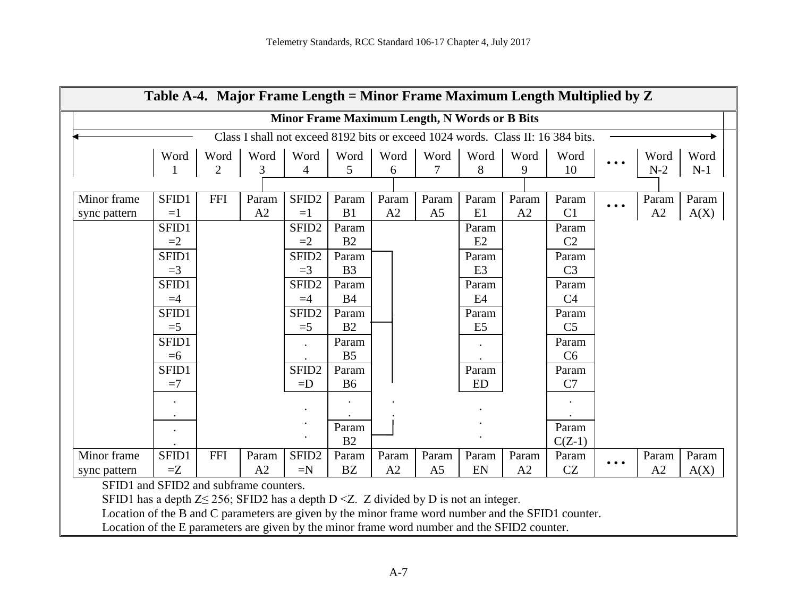<span id="page-24-0"></span>

|              | Table A-4. Major Frame Length = Minor Frame Maximum Length Multiplied by $Z$                                                                                                                       |                |             |                   |                |             |                         |                |             |                |                         |             |       |
|--------------|----------------------------------------------------------------------------------------------------------------------------------------------------------------------------------------------------|----------------|-------------|-------------------|----------------|-------------|-------------------------|----------------|-------------|----------------|-------------------------|-------------|-------|
|              | Minor Frame Maximum Length, N Words or B Bits                                                                                                                                                      |                |             |                   |                |             |                         |                |             |                |                         |             |       |
|              | Class I shall not exceed 8192 bits or exceed 1024 words. Class II: 16 384 bits.                                                                                                                    |                |             |                   |                |             |                         |                |             |                |                         |             |       |
|              | Word                                                                                                                                                                                               | Word           | Word        | Word              | Word           | Word        | Word                    | Word           | Word        | Word           | $\bullet\bullet\bullet$ | Word        | Word  |
|              |                                                                                                                                                                                                    | $\overline{2}$ | 3           | 4                 | 5              | 6           | 7                       | 8              | 9           | 10             |                         | $N-2$       | $N-1$ |
|              |                                                                                                                                                                                                    |                |             |                   |                |             |                         |                |             |                |                         |             |       |
| Minor frame  | SFID1                                                                                                                                                                                              | <b>FFI</b>     | Param       | SFID <sub>2</sub> | Param          | Param       | Param                   | Param          | Param       | Param          | $\bullet\bullet\bullet$ | Param       | Param |
| sync pattern | $=1$                                                                                                                                                                                               |                | A2          | $=1$              | B1             | A2          | A <sub>5</sub>          | E1             | A2          | C <sub>1</sub> |                         | A2          | A(X)  |
|              | SFID1                                                                                                                                                                                              |                |             | SFID <sub>2</sub> | Param          |             |                         | Param          |             | Param          |                         |             |       |
|              | $=2$                                                                                                                                                                                               |                |             | $=2$              | B2             |             |                         | E2             |             | C <sub>2</sub> |                         |             |       |
|              | SFID1                                                                                                                                                                                              |                |             | SFID <sub>2</sub> | Param          |             |                         | Param          |             | Param          |                         |             |       |
|              | $=3$                                                                                                                                                                                               |                |             | $=3$              | B <sub>3</sub> |             |                         | E <sub>3</sub> |             | C <sub>3</sub> |                         |             |       |
|              | SFID1                                                                                                                                                                                              |                |             | SFID <sub>2</sub> | Param          |             |                         | Param          |             | Param          |                         |             |       |
|              | $=4$                                                                                                                                                                                               |                |             | $=4$              | <b>B4</b>      |             |                         | E4             |             | C <sub>4</sub> |                         |             |       |
|              | SFID1                                                                                                                                                                                              |                |             | SFID <sub>2</sub> | Param          |             |                         | Param          |             | Param          |                         |             |       |
|              | $=5$                                                                                                                                                                                               |                |             | $=5$              | B2             |             |                         | E <sub>5</sub> |             | C <sub>5</sub> |                         |             |       |
|              | SFID1                                                                                                                                                                                              |                |             |                   | Param          |             |                         |                |             | Param          |                         |             |       |
|              | $=6$                                                                                                                                                                                               |                |             |                   | B <sub>5</sub> |             |                         |                |             | C <sub>6</sub> |                         |             |       |
|              | SFID1                                                                                                                                                                                              |                |             | SFID <sub>2</sub> | Param          |             |                         | Param          |             | Param          |                         |             |       |
|              | $=7$                                                                                                                                                                                               |                |             | $=$ D             | <b>B6</b>      |             |                         | <b>ED</b>      |             | C7             |                         |             |       |
|              | $\ddot{\phantom{0}}$                                                                                                                                                                               |                |             |                   |                |             |                         |                |             |                |                         |             |       |
|              |                                                                                                                                                                                                    |                |             |                   |                |             |                         |                |             |                |                         |             |       |
|              |                                                                                                                                                                                                    |                |             |                   | Param<br>B2    |             |                         |                |             | Param          |                         |             |       |
| Minor frame  |                                                                                                                                                                                                    |                |             |                   |                |             |                         |                |             | $C(Z-1)$       |                         |             |       |
|              | SFID1<br>$=Z$                                                                                                                                                                                      | <b>FFI</b>     | Param<br>A2 | SFID2<br>$=N$     | Param<br>BZ    | Param<br>A2 | Param<br>A <sub>5</sub> | Param<br>EN    | Param<br>A2 | Param<br>CZ    | $\bullet\bullet\bullet$ | Param<br>A2 | Param |
| sync pattern |                                                                                                                                                                                                    |                |             |                   |                |             |                         |                |             |                |                         |             | A(X)  |
|              | SFID1 and SFID2 and subframe counters.<br>SFID1 has a depth $Z \le 256$ ; SFID2 has a depth D < Z. Z divided by D is not an integer.                                                               |                |             |                   |                |             |                         |                |             |                |                         |             |       |
|              |                                                                                                                                                                                                    |                |             |                   |                |             |                         |                |             |                |                         |             |       |
|              | Location of the B and C parameters are given by the minor frame word number and the SFID1 counter.<br>Location of the E parameters are given by the minor frame word number and the SFID2 counter. |                |             |                   |                |             |                         |                |             |                |                         |             |       |
|              |                                                                                                                                                                                                    |                |             |                   |                |             |                         |                |             |                |                         |             |       |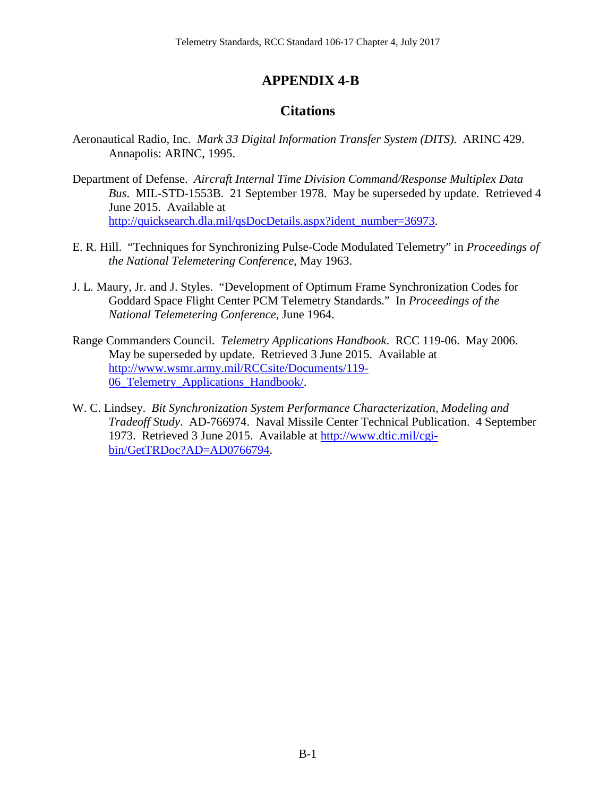## **APPENDIX 4-B**

## <span id="page-25-0"></span>**Citations**

- Aeronautical Radio, Inc. *Mark 33 Digital Information Transfer System (DITS)*. ARINC 429. Annapolis: ARINC, 1995.
- Department of Defense. *Aircraft Internal Time Division Command/Response Multiplex Data Bus*. MIL-STD-1553B. 21 September 1978. May be superseded by update. Retrieved 4 June 2015. Available at [http://quicksearch.dla.mil/qsDocDetails.aspx?ident\\_number=36973.](http://quicksearch.dla.mil/qsDocDetails.aspx?ident_number=36973)
- E. R. Hill. "Techniques for Synchronizing Pulse-Code Modulated Telemetry" in *Proceedings of the National Telemetering Conference*, May 1963.
- J. L. Maury, Jr. and J. Styles. "Development of Optimum Frame Synchronization Codes for Goddard Space Flight Center PCM Telemetry Standards." In *Proceedings of the National Telemetering Conference*, June 1964.
- Range Commanders Council. *Telemetry Applications Handbook*. RCC 119-06. May 2006. May be superseded by update. Retrieved 3 June 2015. Available at [http://www.wsmr.army.mil/RCCsite/Documents/119-](http://www.wsmr.army.mil/RCCsite/Documents/119-06_Telemetry_Applications_Handbook/) [06\\_Telemetry\\_Applications\\_Handbook/.](http://www.wsmr.army.mil/RCCsite/Documents/119-06_Telemetry_Applications_Handbook/)
- W. C. Lindsey. *Bit Synchronization System Performance Characterization, Modeling and Tradeoff Study*. AD-766974. Naval Missile Center Technical Publication. 4 September 1973. Retrieved 3 June 2015. Available at [http://www.dtic.mil/cgi](http://www.dtic.mil/cgi-bin/GetTRDoc?AD=AD0766794)[bin/GetTRDoc?AD=AD0766794.](http://www.dtic.mil/cgi-bin/GetTRDoc?AD=AD0766794)